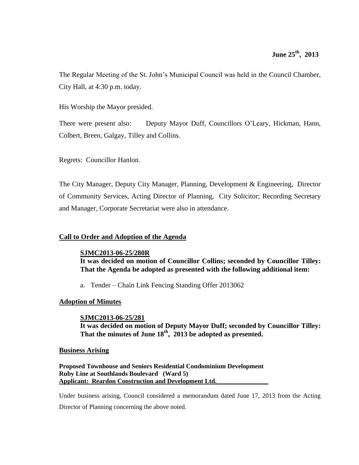The Regular Meeting of the St. John's Municipal Council was held in the Council Chamber, City Hall, at 4:30 p.m. today.

His Worship the Mayor presided.

There were present also: Deputy Mayor Duff, Councillors O'Leary, Hickman, Hann, Colbert, Breen, Galgay, Tilley and Collins.

Regrets: Councillor Hanlon.

The City Manager, Deputy City Manager, Planning, Development & Engineering, Director of Community Services, Acting Director of Planning, City Solicitor; Recording Secretary and Manager, Corporate Secretariat were also in attendance.

# **Call to Order and Adoption of the Agenda**

# **SJMC2013-06-25/280R**

**It was decided on motion of Councillor Collins; seconded by Councillor Tilley: That the Agenda be adopted as presented with the following additional item:**

a. Tender – Chain Link Fencing Standing Offer 2013062

# **Adoption of Minutes**

# **SJMC2013-06-25/281**

**It was decided on motion of Deputy Mayor Duff; seconded by Councillor Tilley: That the minutes of June 18th , 2013 be adopted as presented.**

# **Business Arising**

**Proposed Townhouse and Seniors Residential Condominium Development Ruby Line at Southlands Boulevard (Ward 5) Applicant: Reardon Construction and Development Ltd.\_\_\_\_\_\_\_\_\_\_\_\_\_\_\_\_**

Under business arising, Council considered a memorandum dated June 17, 2013 from the Acting Director of Planning concerning the above noted.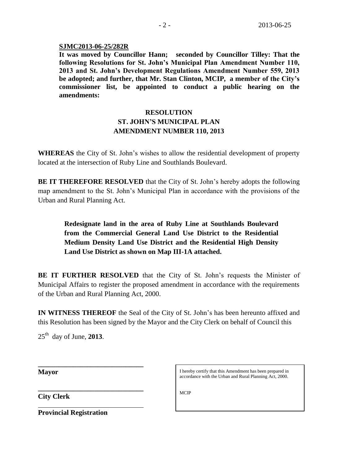# **SJMC2013-06-25/282R**

**It was moved by Councillor Hann; seconded by Councillor Tilley: That the following Resolutions for St. John's Municipal Plan Amendment Number 110, 2013 and St. John's Development Regulations Amendment Number 559, 2013 be adopted; and further, that Mr. Stan Clinton, MCIP, a member of the City's commissioner list, be appointed to conduct a public hearing on the amendments:**

# **RESOLUTION ST. JOHN'S MUNICIPAL PLAN AMENDMENT NUMBER 110, 2013**

**WHEREAS** the City of St. John's wishes to allow the residential development of property located at the intersection of Ruby Line and Southlands Boulevard.

**BE IT THEREFORE RESOLVED** that the City of St. John's hereby adopts the following map amendment to the St. John's Municipal Plan in accordance with the provisions of the Urban and Rural Planning Act.

**Redesignate land in the area of Ruby Line at Southlands Boulevard from the Commercial General Land Use District to the Residential Medium Density Land Use District and the Residential High Density Land Use District as shown on Map III-1A attached.**

**BE IT FURTHER RESOLVED** that the City of St. John's requests the Minister of Municipal Affairs to register the proposed amendment in accordance with the requirements of the Urban and Rural Planning Act, 2000.

**IN WITNESS THEREOF** the Seal of the City of St. John's has been hereunto affixed and this Resolution has been signed by the Mayor and the City Clerk on behalf of Council this

 $25<sup>th</sup>$  day of June, **2013**.

**\_\_\_\_\_\_\_\_\_\_\_\_\_\_\_\_\_\_\_\_\_\_\_\_\_\_\_\_\_\_**

**\_\_\_\_\_\_\_\_\_\_\_\_\_\_\_\_\_\_\_\_\_\_\_\_\_\_\_\_\_\_** 

**Mayor**

**City Clerk**

**Provincial Registration**

I hereby certify that this Amendment has been prepared in accordance with the Urban and Rural Planning Act, 2000.

**MCIP**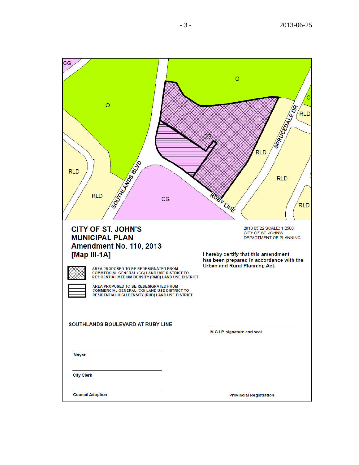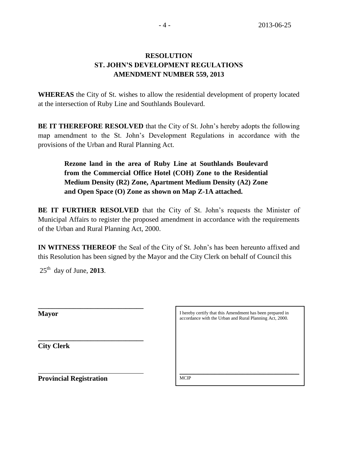# **RESOLUTION ST. JOHN'S DEVELOPMENT REGULATIONS AMENDMENT NUMBER 559, 2013**

**WHEREAS** the City of St. wishes to allow the residential development of property located at the intersection of Ruby Line and Southlands Boulevard.

**BE IT THEREFORE RESOLVED** that the City of St. John's hereby adopts the following map amendment to the St. John's Development Regulations in accordance with the provisions of the Urban and Rural Planning Act.

**Rezone land in the area of Ruby Line at Southlands Boulevard from the Commercial Office Hotel (COH) Zone to the Residential Medium Density (R2) Zone, Apartment Medium Density (A2) Zone and Open Space (O) Zone as shown on Map Z-1A attached.**

**BE IT FURTHER RESOLVED** that the City of St. John's requests the Minister of Municipal Affairs to register the proposed amendment in accordance with the requirements of the Urban and Rural Planning Act, 2000.

**IN WITNESS THEREOF** the Seal of the City of St. John's has been hereunto affixed and this Resolution has been signed by the Mayor and the City Clerk on behalf of Council this

25th day of June, **2013**.

**\_\_\_\_\_\_\_\_\_\_\_\_\_\_\_\_\_\_\_\_\_\_\_\_\_\_\_\_\_\_**

**\_\_\_\_\_\_\_\_\_\_\_\_\_\_\_\_\_\_\_\_\_\_\_\_\_\_\_\_\_\_** 

**Mayor**

**City Clerk**

I hereby certify that this Amendment has been prepared in accordance with the Urban and Rural Planning Act, 2000.

\_\_\_\_\_\_\_\_\_\_\_\_\_\_\_\_\_\_\_\_\_\_\_\_\_\_\_\_\_\_\_\_\_\_\_\_\_\_\_\_\_\_\_\_\_\_\_\_\_\_\_

**Provincial Registration**

**MCIP**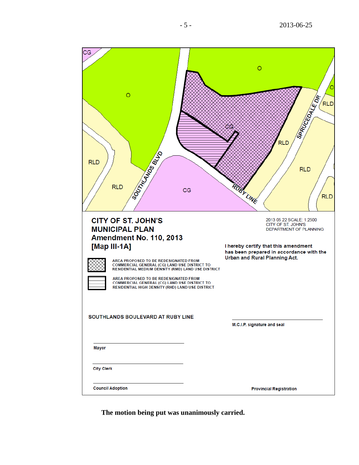| CG<br>$\circ$<br>SOOTHAMPS BLVD<br><b>RLD</b><br><b>RLD</b><br><b>CITY OF ST. JOHN'S</b><br><b>MUNICIPAL PLAN</b>                           | CG | $\circ$<br>SARUCEDALE OR<br>RLD<br><b>RLD</b><br><b>RLD</b><br><b>TBY LINE</b><br><b>RLD</b><br>2013 05 22 SCALE: 1:2500<br>CITY OF ST. JOHN'S<br><b>DEPARTMENT OF PLANNING</b> |
|---------------------------------------------------------------------------------------------------------------------------------------------|----|---------------------------------------------------------------------------------------------------------------------------------------------------------------------------------|
| <b>Amendment No. 110, 2013</b><br>[Map III-1A]                                                                                              |    | I hereby certify that this amendment                                                                                                                                            |
| AREA PROPOSED TO BE REDESIGNATED FROM<br>COMMERCIAL GENERAL (CG) LAND USE DISTRICT TO<br>RESIDENTIAL MEDIUM DENSITY (RMD) LAND USE DISTRICT |    | has been prepared in accordance with the<br>Urban and Rural Planning Act.                                                                                                       |
| AREA PROPOSED TO BE REDESIGNATED FROM<br>COMMERCIAL GENERAL (CG) LAND USE DISTRICT TO<br>RESIDENTIAL HIGH DENSITY (RHD) LAND USE DISTRICT   |    |                                                                                                                                                                                 |
| SOUTHLANDS BOULEVARD AT RUBY LINE                                                                                                           |    | M.C.I.P. signature and seal                                                                                                                                                     |
| Mayor                                                                                                                                       |    |                                                                                                                                                                                 |
| <b>City Clerk</b>                                                                                                                           |    |                                                                                                                                                                                 |
| <b>Council Adoption</b>                                                                                                                     |    | <b>Provincial Registration</b>                                                                                                                                                  |

**The motion being put was unanimously carried.**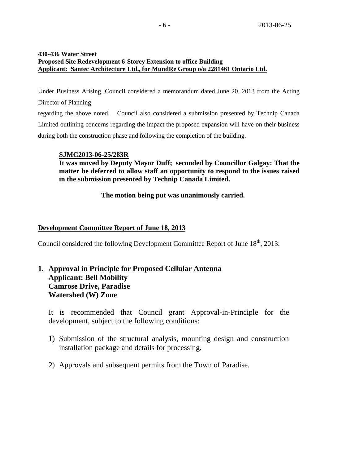# **430-436 Water Street Proposed Site Redevelopment 6-Storey Extension to office Building Applicant: Santec Architecture Ltd., for MundRe Group o/a 2281461 Ontario Ltd.**

Under Business Arising, Council considered a memorandum dated June 20, 2013 from the Acting Director of Planning regarding the above noted. Council also considered a submission presented by Technip Canada

Limited outlining concerns regarding the impact the proposed expansion will have on their business during both the construction phase and following the completion of the building.

# **SJMC2013-06-25/283R**

**It was moved by Deputy Mayor Duff; seconded by Councillor Galgay: That the matter be deferred to allow staff an opportunity to respond to the issues raised in the submission presented by Technip Canada Limited.** 

**The motion being put was unanimously carried.**

# **Development Committee Report of June 18, 2013**

Council considered the following Development Committee Report of June  $18<sup>th</sup>$ , 2013:

# **1. Approval in Principle for Proposed Cellular Antenna Applicant: Bell Mobility Camrose Drive, Paradise Watershed (W) Zone**

It is recommended that Council grant Approval-in-Principle for the development, subject to the following conditions:

- 1) Submission of the structural analysis, mounting design and construction installation package and details for processing.
- 2) Approvals and subsequent permits from the Town of Paradise.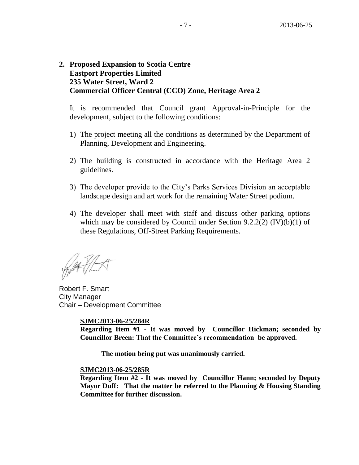# **2. Proposed Expansion to Scotia Centre Eastport Properties Limited 235 Water Street, Ward 2 Commercial Officer Central (CCO) Zone, Heritage Area 2**

It is recommended that Council grant Approval-in-Principle for the development, subject to the following conditions:

- 1) The project meeting all the conditions as determined by the Department of Planning, Development and Engineering.
- 2) The building is constructed in accordance with the Heritage Area 2 guidelines.
- 3) The developer provide to the City's Parks Services Division an acceptable landscape design and art work for the remaining Water Street podium.
- 4) The developer shall meet with staff and discuss other parking options which may be considered by Council under Section  $9.2.2(2)$  (IV)(b)(1) of these Regulations, Off-Street Parking Requirements.

Robert F. Smart City Manager Chair – Development Committee

# **SJMC2013-06-25/284R**

**Regarding Item #1 - It was moved by Councillor Hickman; seconded by Councillor Breen: That the Committee's recommendation be approved.** 

**The motion being put was unanimously carried.**

# **SJMC2013-06-25/285R**

**Regarding Item #2 - It was moved by Councillor Hann; seconded by Deputy Mayor Duff: That the matter be referred to the Planning & Housing Standing Committee for further discussion.**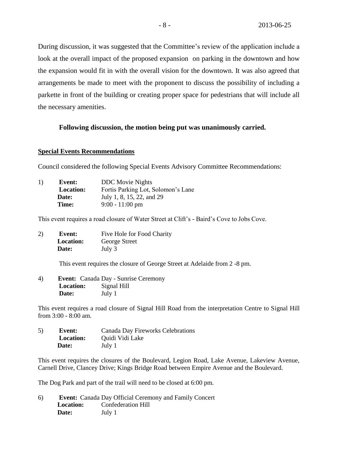During discussion, it was suggested that the Committee's review of the application include a look at the overall impact of the proposed expansion on parking in the downtown and how the expansion would fit in with the overall vision for the downtown. It was also agreed that arrangements be made to meet with the proponent to discuss the possibility of including a parkette in front of the building or creating proper space for pedestrians that will include all the necessary amenities.

# **Following discussion, the motion being put was unanimously carried.**

#### **Special Events Recommendations**

Council considered the following Special Events Advisory Committee Recommendations:

| 1) | Event:           | <b>DDC</b> Movie Nights            |
|----|------------------|------------------------------------|
|    | <b>Location:</b> | Fortis Parking Lot, Solomon's Lane |
|    | Date:            | July 1, 8, 15, 22, and 29          |
|    | Time:            | $9:00 - 11:00$ pm                  |

This event requires a road closure of Water Street at Clift's - Baird's Cove to Jobs Cove.

2) **Event:** Five Hole for Food Charity  **Location:** George Street  **Date:** July 3

This event requires the closure of George Street at Adelaide from 2 -8 pm.

4) **Event:** Canada Day - Sunrise Ceremony **Location:** Signal Hill **Date:** July 1

This event requires a road closure of Signal Hill Road from the interpretation Centre to Signal Hill from 3:00 - 8:00 am.

5) **Event:** Canada Day Fireworks Celebrations **Location:** Ouidi Vidi Lake  **Date:** July 1

This event requires the closures of the Boulevard, Legion Road, Lake Avenue, Lakeview Avenue, Carnell Drive, Clancey Drive; Kings Bridge Road between Empire Avenue and the Boulevard.

The Dog Park and part of the trail will need to be closed at 6:00 pm.

6) **Event:** Canada Day Official Ceremony and Family Concert  **Location:** Confederation Hill  **Date:** July 1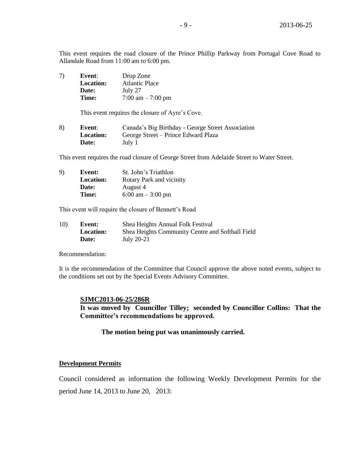This event requires the road closure of the Prince Phillip Parkway from Portugal Cove Road to Allandale Road from 11:00 am to 6:00 pm.

7) **Event**: Drop Zone **Location:** Atlantic Place **Date:** July 27 **Time:** 7:00 am – 7:00 pm

This event requires the closure of Ayre's Cove.

| 8) | Event:           | Canada's Big Birthday - George Street Association |
|----|------------------|---------------------------------------------------|
|    | <b>Location:</b> | George Street – Prince Edward Plaza               |
|    | Date:            | July 1                                            |

This event requires the road closure of George Street from Adelaide Street to Water Street.

| 9) | <b>Event:</b>    | St. John's Triathlon                |
|----|------------------|-------------------------------------|
|    | <b>Location:</b> | Rotary Park and vicinity            |
|    | Date:            | August 4                            |
|    | Time:            | $6:00 \text{ am} - 3:00 \text{ pm}$ |

This event will require the closure of Bennett's Road

| 10) | Event:           | Shea Heights Annual Folk Festival                |
|-----|------------------|--------------------------------------------------|
|     | <b>Location:</b> | Shea Heights Community Centre and Softball Field |
|     | Date:            | July 20-21                                       |

Recommendation:

It is the recommendation of the Committee that Council approve the above noted events, subject to the conditions set out by the Special Events Advisory Committee.

#### **SJMC2013-06-25/286R**

**It was moved by Councillor Tilley; seconded by Councillor Collins: That the Committee's recommendations be approved.**

# **The motion being put was unanimously carried.**

# **Development Permits**

Council considered as information the following Weekly Development Permits for the period June 14, 2013 to June 20, 2013: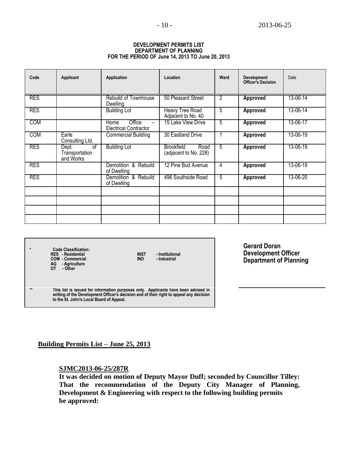| <b>DEVELOPMENT PERMITS LIST</b>                  |
|--------------------------------------------------|
| DEPARTMENT OF PLANNING                           |
| FOR THE PERIOD OF June 14, 2013 TO June 20, 2013 |

| Code       | Applicant                                               | Application                                    | Location                                           | Ward           | Development<br><b>Officer's Decision</b> | Date     |
|------------|---------------------------------------------------------|------------------------------------------------|----------------------------------------------------|----------------|------------------------------------------|----------|
| <b>RES</b> |                                                         | <b>Rebuild of Townhouse</b><br>Dwelling        | 50 Pleasant Street                                 | $\overline{2}$ | <b>Approved</b>                          | 13-06-14 |
| <b>RES</b> |                                                         | <b>Building Lot</b>                            | <b>Heavy Tree Road</b><br>Adjacent to No. 40       | 5              | Approved                                 | 13-06-14 |
| <b>COM</b> |                                                         | Office<br>Home<br><b>Electrical Contractor</b> | 15 Lake View Drive                                 | 5              | <b>Approved</b>                          | 13-06-17 |
| <b>COM</b> | Earle<br>Consulting Ltd.                                | <b>Commercial Building</b>                     | 30 Eastland Drive                                  |                | Approved                                 | 13-06-19 |
| <b>RES</b> | $\overline{of}$<br>Dept.<br>Transportation<br>and Works | <b>Building Lot</b>                            | <b>Brookfield</b><br>Road<br>(adjacent to No. 228) | $\overline{5}$ | <b>Approved</b>                          | 13-06-19 |
| <b>RES</b> |                                                         | Demolition & Rebuild<br>of Dwelling            | 12 Pine Bud Avenue                                 | 4              | Approved                                 | 13-06-19 |
| <b>RES</b> |                                                         | Demolition & Rebuild<br>of Dwelling            | 496 Southside Road                                 | 5              | Approved                                 | 13-06-20 |
|            |                                                         |                                                |                                                    |                |                                          |          |
|            |                                                         |                                                |                                                    |                |                                          |          |
|            |                                                         |                                                |                                                    |                |                                          |          |
|            |                                                         |                                                |                                                    |                |                                          |          |

**\* Code Classification: RES - Residential INST - Institutional COM - Commercial IND - Industrial** 

**AG - Agriculture OT - Other**

**Gerard Doran Development Officer Department of Planning**

**\*\* This list is issued for information purposes only. Applicants have been advised in writing of the Development Officer's decision and of their right to appeal any decision to the St. John's Local Board of Appeal.**

# **Building Permits List – June 25, 2013**

**SJMC2013-06-25/287R**

**It was decided on motion of Deputy Mayor Duff; seconded by Councillor Tilley: That the recommendation of the Deputy City Manager of Planning, Development & Engineering with respect to the following building permits be approved:**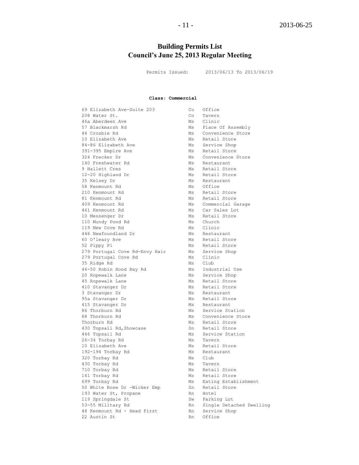# **Building Permits List Council's June 25, 2013 Regular Meeting**

Permits Issued: 2013/06/13 To 2013/06/19

#### **Class: Commercial**

69 Elizabeth Ave-Suite 203 Co Office 208 Water St. Co Tavern 46a Aberdeen Ave Ms Ms Ms Ms Clinical Ms Ms Ms Ms Clinical Ms Ms Ms Clinical Ms Clinical Ms Ms Clinical Ms Ms 44 Crosbie Rd<br>10 Elizabeth Ave Ms Retail Store<br>Ms Retail Store 10 Elizabeth Ave **Michael Austral** Ms Retail Store 84-86 Elizabeth Ave Ms Service Shop 391-395 Empire Ave Montes Ms Retail Store 10 E112abeth Ave Ms Retail Store<br>
324-86 Elizabeth Ave Ms Service Shop<br>
324 Frecker Dr Ms Convenience Store<br>
324 Frecker Dr Ms Convenience Store 140 Freshwater Rd Minister Ms Restaurant 9 Hallett Cres Ms Retail Store 12-20 Highland Dr Ms Retail Store 35 Kelsey Dr Ms Restaurant 58 Kenmount Rd Ms Office 210 Kenmount Rd Ms Retail Store 81 Kenmount Rd<br>409 Kenmount Rd<br>Ms Commercial G 409 Kenmount Rd Ms Commercial Garage 461 Kenmount Rd Ms Car Sales Lot 10 Messenger Dr Ms Retail Store 110 Mundy Pond Rd Ms Church 119 New Cove Rd Ms Clinic 446 Newfoundland Dr Ms Restaurant 60 O'leary Ave Ms Retail Store 52 Pippy Pl **Ms** Retail Store 279 Portugal Cove Rd-Envy Hair Ms Service Shop 279 Portugal Cove Rd Ms Clinic 35 Ridge Rd Ms Club 46-50 Robin Hood Bay Rd Ms Industrial Use 20 Ropewalk Lane Ms Service Shop 45 Ropewalk Lane Ms Retail Store 410 Stavanger Dr Ms Retail Store 3 Stavanger Dr Ms Restaurant 95a Stavanger Dr Ms Retail Store 415 Stavanger Dr Ms Restaurant 86 Thorburn Rd Ms Service Station 88 Thorburn Rd Ms Convenience Store Thorburn Rd<br>
Ms Retail Store 430 Topsail Rd, Showcase Sn Retail Store 446 Topsail Rd Ms Service Station 26-34 Torbay Rd Ms Tavern 10 Elizabeth Ave **Million Communist Communist** Ms Retail Store 192-194 Torbay Rd Ms Restaurant 320 Torbay Rd Ms Club 430 Torbay Rd<br>
710 Torbay Rd<br>
Ms Retail 141 Torbay Rd Ms Retail Store 699 Torbay Rd Ms Eating Establishment 50 White Rose Dr -Wicker Emp Sn Retail Store 193 Water St, Propane Rn Hotel 193 Water St, Propane 119 Springdale St Sw Parking Lot 53-55 Military Rd Rn Single Detached Dwelling 48 Kenmount Rd - Head First Rn Service Shop 22 Austin St Rn Office

Ms Place Of Assembly Ms Retail Store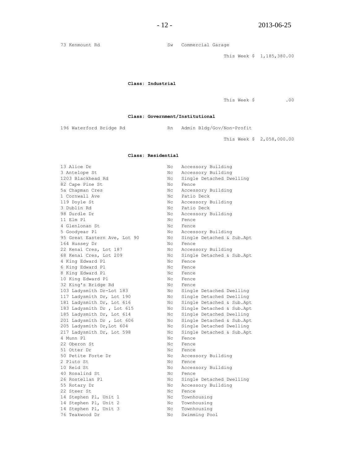73 Kenmount Rd **SW** Commercial Garage

This Week \$ 1,185,380.00

**Class: Industrial**

This Week \$ .00

**Class: Government/Institutional**

196 Waterford Bridge Rd Kn Rn Admin Bldg/Gov/Non-Profit

This Week \$ 2,058,000.00

#### **Class: Residential**

| 13 Alice Dr                  | Νc             | Accessory Building        |
|------------------------------|----------------|---------------------------|
| 3 Antelope St                | Nс             | Accessory Building        |
| 1203 Blackhead Rd            | Nc.            | Single Detached Dwelling  |
| 82 Cape Pine St              | Nc.            | Fence                     |
| 5a Chapman Cres              | Nc             | Accessory Building        |
| 1 Cornwall Ave               | Nc             | Patio Deck                |
| 119 Doyle St                 | Nc             | Accessory Building        |
| 3 Dublin Rd                  | Nc             | Patio Deck                |
| 98 Durdle Dr                 | Nc             | Accessory Building        |
| 11 Elm Pl                    | Nc.            | Fence                     |
| 4 Glenlonan St               | Nc.            | Fence                     |
| 5 Goodyear Pl                | Nс             | Accessory Building        |
| 95 Great Eastern Ave, Lot 90 | Nс             | Single Detached & Sub.Apt |
| 164 Hussey Dr                | Nc.            | Fence                     |
| 22 Kenai Cres, Lot 187       | Nс             | Accessory Building        |
| 68 Kenai Cres, Lot 209       | Nс             | Single Detached & Sub.Apt |
| 4 King Edward Pl             | Nc             | Fence                     |
| 6 King Edward Pl             | Nc.            | Fence                     |
| 8 King Edward Pl             | Nc.            | Fence                     |
| 10 King Edward Pl            | Nc.            | Fence                     |
| 32 King's Bridge Rd          | Nc.            | Fence                     |
| 103 Ladysmith Dr-Lot 183     | Nc             | Single Detached Dwelling  |
| 117 Ladysmith Dr, Lot 190    | Nc             | Single Detached Dwelling  |
| 181 Ladysmith Dr, Lot 616    | Nc             | Single Detached & Sub.Apt |
| 183 Ladysmith Dr , Lot 615   | Nc             | Single Detached & Sub.Apt |
| 185 Ladysmith Dr, Lot 614    | Nc             | Single Detached Dwelling  |
| 201 Ladysmith Dr , Lot 606   | Nc             | Single Detached & Sub.Apt |
| 205 Ladysmith Dr, Lot 604    | Nс             | Single Detached Dwelling  |
| 217 Ladysmith Dr, Lot 598    | Nс             | Single Detached & Sub.Apt |
| 4 Munn Pl                    | Nс             | Fence                     |
| 22 Oberon St                 | Nc.            | Fence                     |
| 51 Otter Dr                  | Nc.            | Fence                     |
| 50 Petite Forte Dr           | Nc.            | Accessory Building        |
| 2 Pluto St                   | Nc.            | Fence                     |
| 10 Reid St                   | Nc.            | Accessory Building        |
| 40 Rosalind St               | Nc.            | Fence                     |
| 26 Rostellan Pl              | Nc             | Single Detached Dwelling  |
| 55 Rotary Dr                 | Nc             | Accessory Building        |
| 22 Steer St                  | Nc             | Fence                     |
| 14 Stephen Pl, Unit 1        | Nc             | Townhousing               |
| 14 Stephen Pl, Unit 2        | N <sub>C</sub> | Townhousing               |
| 14 Stephen Pl, Unit 3        | N <sub>C</sub> | Townhousing               |
| 76 Teakwood Dr               | Nc.            | Swimming Pool             |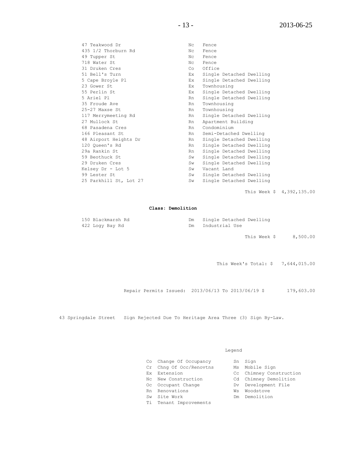47 Teakwood Dr Nc Fence 435 1/2 Thorburn Rd Nc Fence 49 Tupper St Nc Fence 718 Water St<br>
31 Druken Cres<br>
51 Druken Cres<br>
51 Druken Co 31 Druken Cres Co Office 51 Bell's Turn Ex Single Detached Dwelling<br>5 Cape Broyle Pl<br>Figures Ex Single Detached Dwelling<br>Figures Planners Planners Planners Planners Planners Planners Planners Planners Planners Planners Planners Planners Planners P Ex Single Detached Dwelling 5 Cape Broyle F1<br>23 Gower St Ex Townhousing<br>23 Gower St 55 Perlin St Ex Single Detached Dwelling 5 Ariel Pl **Rn** Single Detached Dwelling 35 Froude Ave **RAN TOWN** Rn Townhousing 25-27 Maxse St Rn Townhousing 117 Merrymeeting Rd Rn Single Detached Dwelling 27 Mullock St **Rn** Apartment Building 68 Pasadena Cres **Rn** Condominium 166 Pleasant St **Rn** Semi-Detached Dwelling 48 Airport Heights Dr 120 Queen's Rd Rn Single Detached Dwelling 29a Rankin St **Rn** Single Detached Dwelling 59 Beothuck St Sw Single Detached Dwelling 29 Druken Cres Sw Single Detached Dwelling Kelsey Dr - Lot 5 Sw Vacant Land<br>00 Jackson Observation Co., Circle Batter 99 Lester St Sw Single Detached Dwelling 25 Parkhill St, Lot 27 Sw Single Detached Dwelling

This Week \$ 4,392,135.00

#### **Class: Demolition**

| 150 Blackmarsh Rd |     | Single Detached Dwelling |
|-------------------|-----|--------------------------|
| 422 Logy Bay Rd   | Dm. | Industrial Use           |

This Week \$ 8,500.00

This Week's Total: \$ 7,644,015.00

Repair Permits Issued: 2013/06/13 To 2013/06/19 \$ 179,603.00

43 Springdale Street Sign Rejected Due To Heritage Area Three (3) Sign By-Law.

Legend

| Co Change Of Occupancy  |    | Sn Sign                 |
|-------------------------|----|-------------------------|
| Cr Chng Of Occ/Renovtns |    | Ms Mobile Sign          |
| Ex Extension            |    | Cc Chimney Construction |
| No New Construction     |    | Cd Chimney Demolition   |
| Oc Occupant Change      |    | Dv Development File     |
| Rn Renovations          | Ws | Woodstove               |
| Sw Site Work            | Dm | Demolition              |
| Ti Tenant Improvements  |    |                         |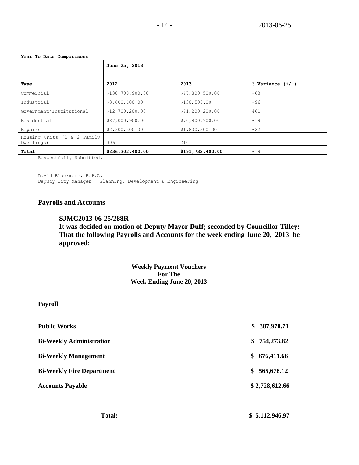| Year To Date Comparisons                  |                  |                   |                      |  |  |
|-------------------------------------------|------------------|-------------------|----------------------|--|--|
|                                           | June 25, 2013    |                   |                      |  |  |
|                                           |                  |                   |                      |  |  |
| Type                                      | 2012             | 2013              | $%$ Variance $(+/-)$ |  |  |
| Commercial                                | \$130,700,900.00 | \$47,800,500.00   | $-63$                |  |  |
| Industrial                                | \$3,600,100.00   | \$130,500.00      | $-96$                |  |  |
| Government/Institutional                  | \$12,700,200.00  | \$71, 200, 200.00 | 461                  |  |  |
| Residential                               | \$87,000,900.00  | \$70,800,900.00   | $-19$                |  |  |
| Repairs                                   | \$2,300,300.00   | \$1,800,300.00    | $-22$                |  |  |
| Housing Units (1 & 2 Family<br>Dwellings) | 306              | 210               |                      |  |  |
| Total                                     | \$236,302,400.00 | \$191,732,400.00  | $-19$                |  |  |

Respectfully Submitted,

David Blackmore, R.P.A. Deputy City Manager – Planning, Development & Engineering

# **Payrolls and Accounts**

# **SJMC2013-06-25/288R**

**It was decided on motion of Deputy Mayor Duff; seconded by Councillor Tilley: That the following Payrolls and Accounts for the week ending June 20, 2013 be approved:**

> **Weekly Payment Vouchers For The Week Ending June 20, 2013**

**Payroll**

| \$387,970.71     |
|------------------|
| 754,273.82<br>\$ |
| 676,411.66<br>\$ |
| 565,678.12<br>\$ |
| \$2,728,612.66   |
|                  |
|                  |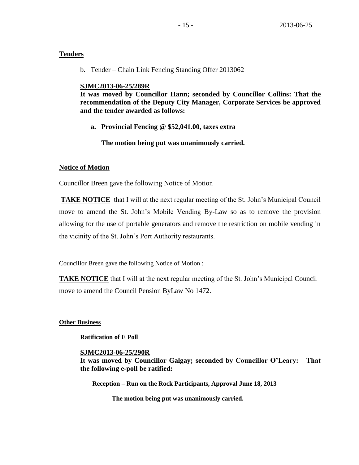# **Tenders**

b. Tender – Chain Link Fencing Standing Offer 2013062

# **SJMC2013-06-25/289R**

**It was moved by Councillor Hann; seconded by Councillor Collins: That the recommendation of the Deputy City Manager, Corporate Services be approved and the tender awarded as follows:**

**a. Provincial Fencing @ \$52,041.00, taxes extra**

**The motion being put was unanimously carried.**

# **Notice of Motion**

Councillor Breen gave the following Notice of Motion

**TAKE NOTICE** that I will at the next regular meeting of the St. John's Municipal Council move to amend the St. John's Mobile Vending By-Law so as to remove the provision allowing for the use of portable generators and remove the restriction on mobile vending in the vicinity of the St. John's Port Authority restaurants.

Councillor Breen gave the following Notice of Motion :

**TAKE NOTICE** that I will at the next regular meeting of the St. John's Municipal Council move to amend the Council Pension ByLaw No 1472.

# **Other Business**

**Ratification of E Poll**

# **SJMC2013-06-25/290R**

**It was moved by Councillor Galgay; seconded by Councillor O'Leary: That the following e-poll be ratified:**

**Reception – Run on the Rock Participants, Approval June 18, 2013**

**The motion being put was unanimously carried.**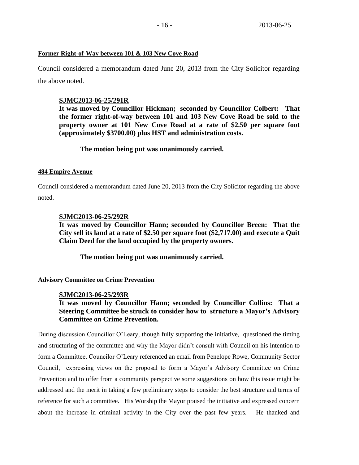#### **Former Right-of-Way between 101 & 103 New Cove Road**

Council considered a memorandum dated June 20, 2013 from the City Solicitor regarding the above noted.

### **SJMC2013-06-25/291R**

**It was moved by Councillor Hickman; seconded by Councillor Colbert: That the former right-of-way between 101 and 103 New Cove Road be sold to the property owner at 101 New Cove Road at a rate of \$2.50 per square foot (approximately \$3700.00) plus HST and administration costs.**

#### **The motion being put was unanimously carried.**

#### **484 Empire Avenue**

Council considered a memorandum dated June 20, 2013 from the City Solicitor regarding the above noted.

#### **SJMC2013-06-25/292R**

**It was moved by Councillor Hann; seconded by Councillor Breen: That the City sell its land at a rate of \$2.50 per square foot (\$2,717.00) and execute a Quit Claim Deed for the land occupied by the property owners.**

**The motion being put was unanimously carried.** 

#### **Advisory Committee on Crime Prevention**

#### **SJMC2013-06-25/293R**

# **It was moved by Councillor Hann; seconded by Councillor Collins: That a Steering Committee be struck to consider how to structure a Mayor's Advisory Committee on Crime Prevention.**

During discussion Councillor O'Leary, though fully supporting the initiative, questioned the timing and structuring of the committee and why the Mayor didn't consult with Council on his intention to form a Committee. Councilor O'Leary referenced an email from Penelope Rowe, Community Sector Council, expressing views on the proposal to form a Mayor's Advisory Committee on Crime Prevention and to offer from a community perspective some suggestions on how this issue might be addressed and the merit in taking a few preliminary steps to consider the best structure and terms of reference for such a committee. His Worship the Mayor praised the initiative and expressed concern about the increase in criminal activity in the City over the past few years. He thanked and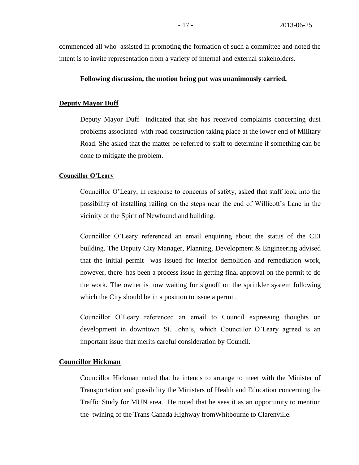commended all who assisted in promoting the formation of such a committee and noted the intent is to invite representation from a variety of internal and external stakeholders.

### **Following discussion, the motion being put was unanimously carried.**

### **Deputy Mayor Duff**

Deputy Mayor Duff indicated that she has received complaints concerning dust problems associated with road construction taking place at the lower end of Military Road. She asked that the matter be referred to staff to determine if something can be done to mitigate the problem.

#### **Councillor O'Leary**

Councillor O'Leary, in response to concerns of safety, asked that staff look into the possibility of installing railing on the steps near the end of Willicott's Lane in the vicinity of the Spirit of Newfoundland building.

Councillor O'Leary referenced an email enquiring about the status of the CEI building. The Deputy City Manager, Planning, Development & Engineering advised that the initial permit was issued for interior demolition and remediation work, however, there has been a process issue in getting final approval on the permit to do the work. The owner is now waiting for signoff on the sprinkler system following which the City should be in a position to issue a permit.

Councillor O'Leary referenced an email to Council expressing thoughts on development in downtown St. John's, which Councillor O'Leary agreed is an important issue that merits careful consideration by Council.

# **Councillor Hickman**

Councillor Hickman noted that he intends to arrange to meet with the Minister of Transportation and possibility the Ministers of Health and Education concerning the Traffic Study for MUN area. He noted that he sees it as an opportunity to mention the twining of the Trans Canada Highway fromWhitbourne to Clarenville.